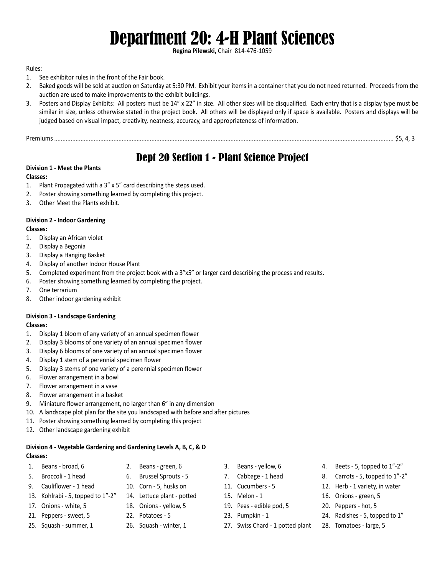# Department 20: 4-H Plant Sciences

**Regina Pilewski,** Chair 814-476-1059

## Rules:

- 1. See exhibitor rules in the front of the Fair book.
- 2. Baked goods will be sold at auction on Saturday at 5:30 PM. Exhibit your items in a container that you do not need returned. Proceeds from the auction are used to make improvements to the exhibit buildings.
- 3. Posters and Display Exhibits: All posters must be 14" x 22" in size. All other sizes will be disqualified. Each entry that is a display type must be similar in size, unless otherwise stated in the project book. All others will be displayed only if space is available. Posters and displays will be judged based on visual impact, creativity, neatness, accuracy, and appropriateness of information.

Premiums .............................................................................................................................................................................................................. \$5, 4, 3

# Dept 20 Section 1 - Plant Science Project

# **Division 1 - Meet the Plants**

#### **Classes:**

- 1. Plant Propagated with a 3" x 5" card describing the steps used.
- 2. Poster showing something learned by completing this project.
- 3. Other Meet the Plants exhibit.

# **Division 2 - Indoor Gardening**

### **Classes:**

- 1. Display an African violet
- 2. Display a Begonia
- 3. Display a Hanging Basket
- 4. Display of another Indoor House Plant
- 5. Completed experiment from the project book with a 3"x5" or larger card describing the process and results.
- 6. Poster showing something learned by completing the project.
- 7. One terrarium
- 8. Other indoor gardening exhibit

# **Division 3 - Landscape Gardening**

#### **Classes:**

- 1. Display 1 bloom of any variety of an annual specimen flower
- 2. Display 3 blooms of one variety of an annual specimen flower
- 3. Display 6 blooms of one variety of an annual specimen flower
- 4. Display 1 stem of a perennial specimen flower
- 5. Display 3 stems of one variety of a perennial specimen flower
- 6. Flower arrangement in a bowl
- 7. Flower arrangement in a vase
- 8. Flower arrangement in a basket
- 9. Miniature flower arrangement, no larger than 6" in any dimension
- 10. A landscape plot plan for the site you landscaped with before and after pictures
- 11. Poster showing something learned by completing this project
- 12. Other landscape gardening exhibit

# **Division 4 - Vegetable Gardening and Gardening Levels A, B, C, & D**

# **Classes:**

- 1. Beans broad, 6 2. Beans green, 6 3. Beans yellow, 6 4. Beets 5, topped to 1"-2"
	-
- 
- 13. Kohlrabi 5, topped to 1"-2" 14. Lettuce plant potted 15. Melon 1 16. Onions green, 5
- 
- 
- 
- 
- - -
- 
- 
- 
- 
- 17. Onions white, 5 18. Onions yellow, 5 19. Peas edible pod, 5 19. Peppers hot, 5
	-
- 25. Squash summer, 1 26. Squash winter, 1 27. Swiss Chard 1 potted plant 28. Tomatoes large, 5
- 
- 5. Broccoli 1 head 6. Brussel Sprouts 5 7. Cabbage 1 head 8. Carrots 5, topped to 1"-2"
- 9. Cauliflower 1 head 10. Corn 5, husks on 11. Cucumbers 5 12. Herb 1 variety, in water
	-
	-
- 21. Peppers sweet, 5 22. Potatoes 5 23. Pumpkin 1 24. Radishes 5, topped to 1"
	-